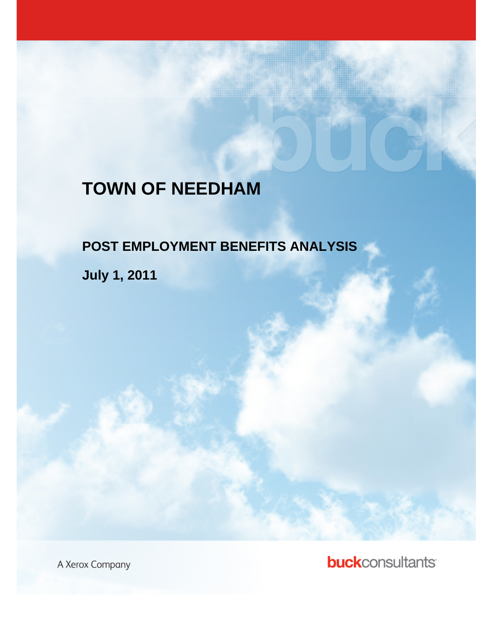# **TOWN OF NEEDHAM**

# **POST EMPLOYMENT BENEFITS ANALYSIS**

<u> 1999 - Johann Barn, Amerikaansk ferstjer</u>

**July 1, 2011** 

A Xerox Cor  $\sim$  **buck**consultants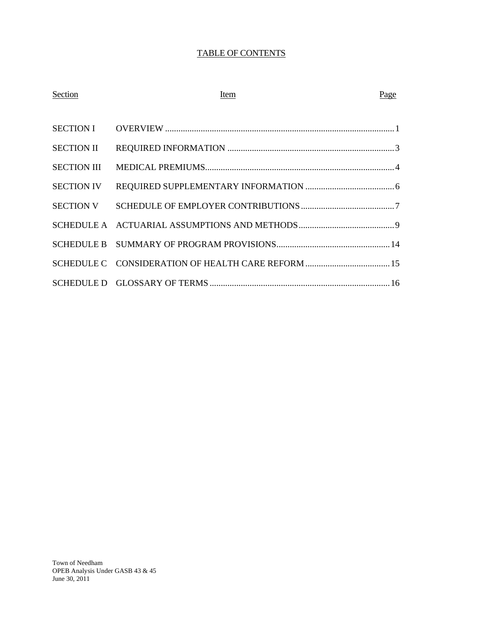# TABLE OF CONTENTS

| Section           | Item | Page |
|-------------------|------|------|
|                   |      |      |
|                   |      |      |
|                   |      |      |
| <b>SECTION IV</b> |      |      |
|                   |      |      |
|                   |      |      |
|                   |      |      |
|                   |      |      |
|                   |      |      |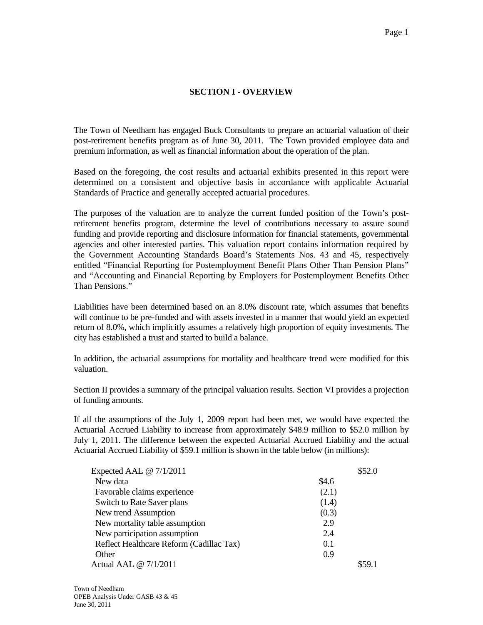# **SECTION I - OVERVIEW**

The Town of Needham has engaged Buck Consultants to prepare an actuarial valuation of their post-retirement benefits program as of June 30, 2011. The Town provided employee data and premium information, as well as financial information about the operation of the plan.

Based on the foregoing, the cost results and actuarial exhibits presented in this report were determined on a consistent and objective basis in accordance with applicable Actuarial Standards of Practice and generally accepted actuarial procedures.

The purposes of the valuation are to analyze the current funded position of the Town's postretirement benefits program, determine the level of contributions necessary to assure sound funding and provide reporting and disclosure information for financial statements, governmental agencies and other interested parties. This valuation report contains information required by the Government Accounting Standards Board's Statements Nos. 43 and 45, respectively entitled "Financial Reporting for Postemployment Benefit Plans Other Than Pension Plans" and "Accounting and Financial Reporting by Employers for Postemployment Benefits Other Than Pensions."

Liabilities have been determined based on an 8.0% discount rate, which assumes that benefits will continue to be pre-funded and with assets invested in a manner that would yield an expected return of 8.0%, which implicitly assumes a relatively high proportion of equity investments. The city has established a trust and started to build a balance.

In addition, the actuarial assumptions for mortality and healthcare trend were modified for this valuation.

Section II provides a summary of the principal valuation results. Section VI provides a projection of funding amounts.

If all the assumptions of the July 1, 2009 report had been met, we would have expected the Actuarial Accrued Liability to increase from approximately \$48.9 million to \$52.0 million by July 1, 2011. The difference between the expected Actuarial Accrued Liability and the actual Actuarial Accrued Liability of \$59.1 million is shown in the table below (in millions):

| Expected AAL @ 7/1/2011                  | \$52.0 |
|------------------------------------------|--------|
| New data                                 | \$4.6  |
| Favorable claims experience              | (2.1)  |
| Switch to Rate Saver plans               | (1.4)  |
| New trend Assumption                     | (0.3)  |
| New mortality table assumption           | 2.9    |
| New participation assumption             | 2.4    |
| Reflect Healthcare Reform (Cadillac Tax) | 0.1    |
| Other                                    | 0.9    |
| Actual AAL @ 7/1/2011                    |        |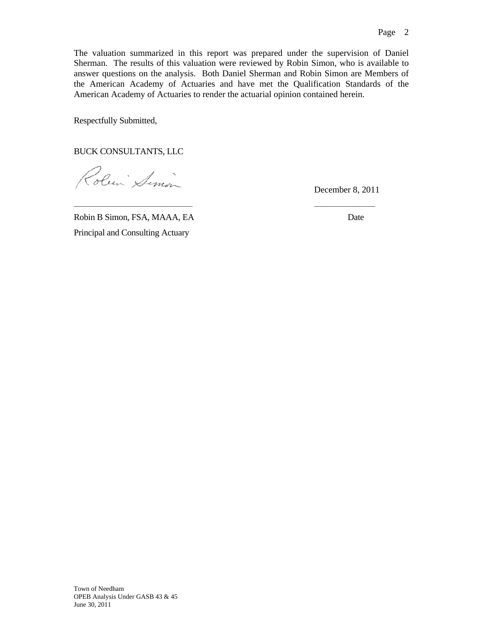The valuation summarized in this report was prepared under the supervision of Daniel Sherman. The results of this valuation were reviewed by Robin Simon, who is available to answer questions on the analysis. Both Daniel Sherman and Robin Simon are Members of the American Academy of Actuaries and have met the Qualification Standards of the American Academy of Actuaries to render the actuarial opinion contained herein.

 $\frac{1}{2}$  , the contribution of the contribution of the contribution of the contribution of the contribution of the contribution of the contribution of the contribution of the contribution of the contribution of the contr

Respectfully Submitted,

BUCK CONSULTANTS, LLC

Roben Simon

December 8, 2011

Robin B Simon, FSA, MAAA, EA Date Principal and Consulting Actuary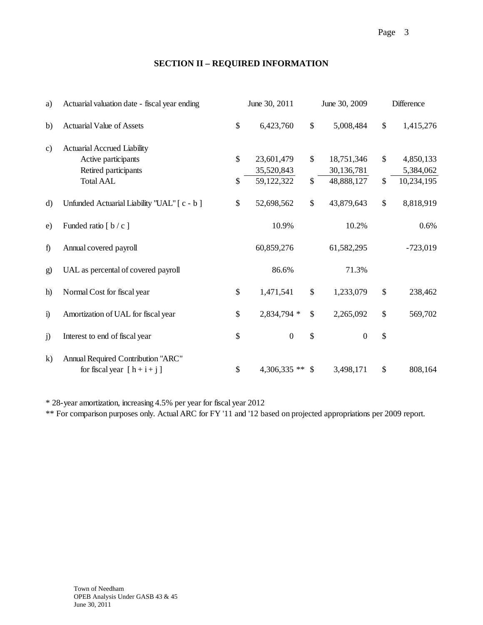# **SECTION II – REQUIRED INFORMATION**

| a)            | Actuarial valuation date - fiscal year ending                       |               | June 30, 2011    |              | June 30, 2009    |                           | Difference |  |
|---------------|---------------------------------------------------------------------|---------------|------------------|--------------|------------------|---------------------------|------------|--|
| b)            | <b>Actuarial Value of Assets</b>                                    | \$            | 6,423,760        | \$           | 5,008,484        | \$                        | 1,415,276  |  |
| $\mathbf{c})$ | <b>Actuarial Accrued Liability</b>                                  |               |                  |              |                  |                           |            |  |
|               | Active participants                                                 | $\mathcal{S}$ | 23,601,479       | \$           | 18,751,346       | \$                        | 4,850,133  |  |
|               | Retired participants                                                |               | 35,520,843       |              | 30,136,781       |                           | 5,384,062  |  |
|               | <b>Total AAL</b>                                                    | \$            | 59,122,322       | \$           | 48,888,127       | \$                        | 10,234,195 |  |
| d)            | Unfunded Actuarial Liability "UAL" [c - b]                          | \$            | 52,698,562       | \$           | 43,879,643       | $\boldsymbol{\mathsf{S}}$ | 8,818,919  |  |
| e)            | Funded ratio $[ b / c ]$                                            |               | 10.9%            |              | 10.2%            |                           | 0.6%       |  |
| f             | Annual covered payroll                                              |               | 60,859,276       |              | 61,582,295       |                           | $-723,019$ |  |
| g)            | UAL as percental of covered payroll                                 |               | 86.6%            |              | 71.3%            |                           |            |  |
| h)            | Normal Cost for fiscal year                                         | \$            | 1,471,541        | \$           | 1,233,079        | \$                        | 238,462    |  |
| $\ddot{1}$    | Amortization of UAL for fiscal year                                 | \$            | 2,834,794 *      | \$           | 2,265,092        | \$                        | 569,702    |  |
| j)            | Interest to end of fiscal year                                      | \$            | $\boldsymbol{0}$ | \$           | $\boldsymbol{0}$ | \$                        |            |  |
| k)            | Annual Required Contribution "ARC"<br>for fiscal year $[h + i + j]$ | \$            | $4,306,335$ **   | $\mathbb{S}$ | 3,498,171        | \$                        | 808,164    |  |

\* 28-year amortization, increasing 4.5% per year for fiscal year 2012

\*\* For comparison purposes only. Actual ARC for FY '11 and '12 based on projected appropriations per 2009 report.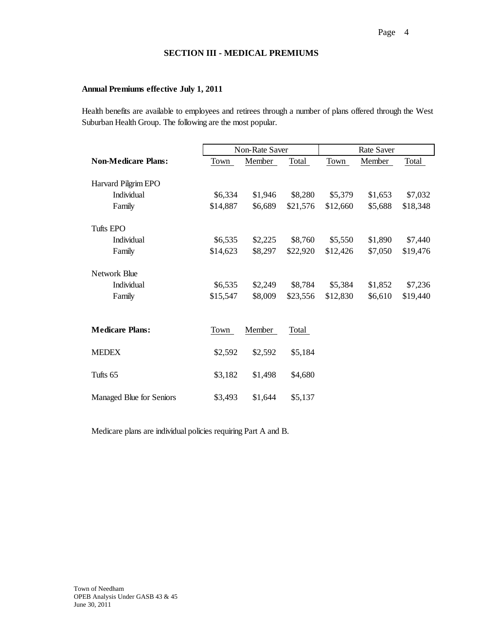## **SECTION III - MEDICAL PREMIUMS**

## **Annual Premiums effective July 1, 2011**

Health benefits are available to employees and retirees through a number of plans offered through the West Suburban Health Group. The following are the most popular.

|                            | <b>Non-Rate Saver</b> |         |          | <b>Rate Saver</b> |         |          |
|----------------------------|-----------------------|---------|----------|-------------------|---------|----------|
| <b>Non-Medicare Plans:</b> | Town                  | Member  | Total    | Town              | Member  | Total    |
| Harvard Pilgrim EPO        |                       |         |          |                   |         |          |
| Individual                 | \$6,334               | \$1,946 | \$8,280  | \$5,379           | \$1,653 | \$7,032  |
| Family                     | \$14,887              | \$6,689 | \$21,576 | \$12,660          | \$5,688 | \$18,348 |
| Tufts EPO                  |                       |         |          |                   |         |          |
| Individual                 | \$6,535               | \$2,225 | \$8,760  | \$5,550           | \$1,890 | \$7,440  |
| Family                     | \$14,623              | \$8,297 | \$22,920 | \$12,426          | \$7,050 | \$19,476 |
| Network Blue               |                       |         |          |                   |         |          |
| Individual                 | \$6,535               | \$2,249 | \$8,784  | \$5,384           | \$1,852 | \$7,236  |
| Family                     | \$15,547              | \$8,009 | \$23,556 | \$12,830          | \$6,610 | \$19,440 |
|                            |                       |         |          |                   |         |          |
| <b>Medicare Plans:</b>     | Town                  | Member  | Total    |                   |         |          |
| <b>MEDEX</b>               | \$2,592               | \$2,592 | \$5,184  |                   |         |          |
| Tufts <sub>65</sub>        | \$3,182               | \$1,498 | \$4,680  |                   |         |          |
| Managed Blue for Seniors   | \$3,493               | \$1,644 | \$5,137  |                   |         |          |

Medicare plans are individual policies requiring Part A and B.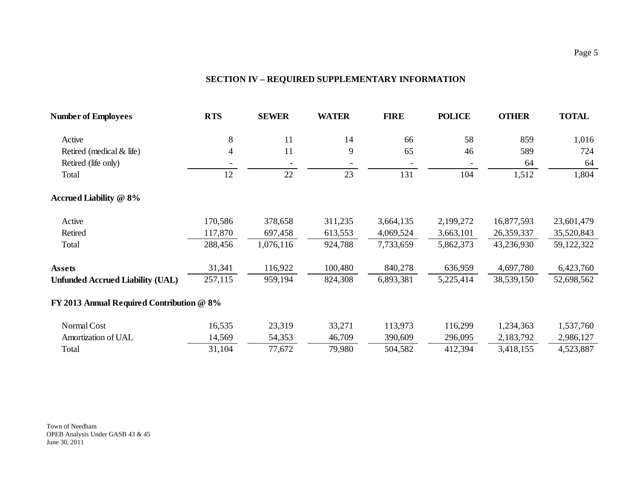# **SECTION IV – REQUIRED SUPPLEMENTARY INFORMATION**

|                |                                           |         |           |           | <b>OTHER</b>                                                               | <b>TOTAL</b> |
|----------------|-------------------------------------------|---------|-----------|-----------|----------------------------------------------------------------------------|--------------|
| $8\,$          | 11                                        | 14      | 66        | 58        | 859                                                                        | 1,016        |
| $\overline{4}$ | 11                                        | 9       | 65        | 46        | 589                                                                        | 724          |
|                |                                           |         |           |           | 64                                                                         | 64           |
| 12             | 22                                        | 23      | 131       | 104       | 1,512                                                                      | 1,804        |
|                |                                           |         |           |           |                                                                            |              |
| 170,586        | 378,658                                   | 311,235 | 3,664,135 | 2,199,272 | 16,877,593                                                                 | 23,601,479   |
| 117,870        | 697,458                                   | 613,553 | 4,069,524 | 3,663,101 | 26,359,337                                                                 | 35,520,843   |
| 288,456        | 1,076,116                                 | 924,788 | 7,733,659 | 5,862,373 | 43,236,930                                                                 | 59,122,322   |
| 31,341         | 116,922                                   | 100,480 | 840,278   | 636,959   | 4,697,780                                                                  | 6,423,760    |
| 257,115        | 959,194                                   | 824,308 | 6,893,381 | 5,225,414 | 38,539,150                                                                 | 52,698,562   |
|                |                                           |         |           |           |                                                                            |              |
| 16,535         | 23,319                                    | 33,271  | 113,973   | 116,299   | 1,234,363                                                                  | 1,537,760    |
| 14,569         | 54,353                                    | 46,709  | 390,609   | 296,095   | 2,183,792                                                                  | 2,986,127    |
| 31,104         | 77,672                                    | 79,980  | 504,582   | 412,394   | 3,418,155                                                                  | 4,523,887    |
|                | FY 2013 Annual Required Contribution @ 8% |         |           |           | <b>RTS</b><br><b>FIRE</b><br><b>POLICE</b><br><b>SEWER</b><br><b>WATER</b> |              |

Town of Needham OPEB Analysis Under GASB 43 & 45 June 30, 2011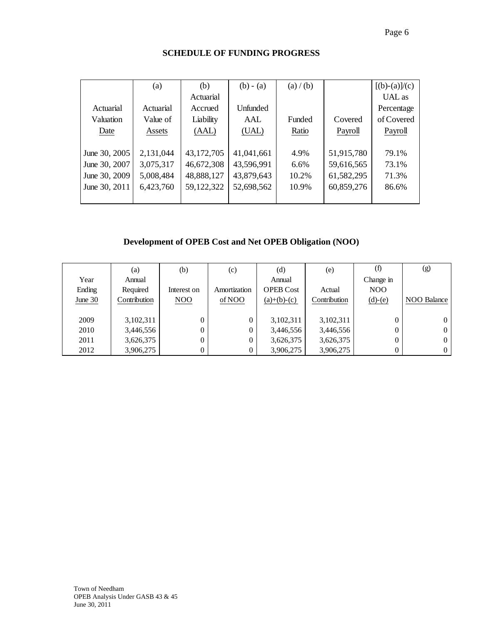|               | (a)       | (b)        | $(b) - (a)$     | (a) / (b) |            | $[(b)-(a)]/(c)$ |
|---------------|-----------|------------|-----------------|-----------|------------|-----------------|
|               |           | Actuarial  |                 |           |            | UAL as          |
| Actuarial     | Actuarial | Accrued    | <b>Unfinded</b> |           |            | Percentage      |
| Valuation     | Value of  | Liability  | AAL             | Funded    | Covered    | of Covered      |
| Date          | Assets    | (AAL)      | (UAL)           | Ratio     | Payroll    | Payroll         |
|               |           |            |                 |           |            |                 |
| June 30, 2005 | 2,131,044 | 43,172,705 | 41,041,661      | 4.9%      | 51,915,780 | 79.1%           |
| June 30, 2007 | 3,075,317 | 46,672,308 | 43,596,991      | 6.6%      | 59,616,565 | 73.1%           |
| June 30, 2009 | 5,008,484 | 48,888,127 | 43,879,643      | 10.2%     | 61,582,295 | 71.3%           |
| June 30, 2011 | 6,423,760 | 59,122,322 | 52,698,562      | 10.9%     | 60,859,276 | 86.6%           |
|               |           |            |                 |           |            |                 |

# **SCHEDULE OF FUNDING PROGRESS**

# **Development of OPEB Cost and Net OPEB Obligation (NOO)**

|           | (a)          | (b)         | (c)            | (d)              | (e)          | (f)              | (g)            |
|-----------|--------------|-------------|----------------|------------------|--------------|------------------|----------------|
| Year      | Annual       |             |                | Annual           |              | Change in        |                |
| Ending    | Required     | Interest on | Amortization   | <b>OPEB Cost</b> | Actual       | N <sub>O</sub> O |                |
| June $30$ | Contribution | NOO         | of NOO         | $(a)+(b)-(c)$    | Contribution | $(d)-(e)$        | NOO Balance    |
|           |              |             |                |                  |              |                  |                |
| 2009      | 3,102,311    | 0           | $\overline{0}$ | 3,102,311        | 3,102,311    | 0                | $\overline{0}$ |
| 2010      | 3,446,556    | 0           | $\mathbf{0}$   | 3,446,556        | 3,446,556    | $\theta$         | $\mathbf{0}$   |
| 2011      | 3,626,375    | 0           | $\mathbf{0}$   | 3,626,375        | 3,626,375    | 0                | $\overline{0}$ |
| 2012      | 3,906,275    |             | $\overline{0}$ | 3,906,275        | 3,906,275    |                  | $\overline{0}$ |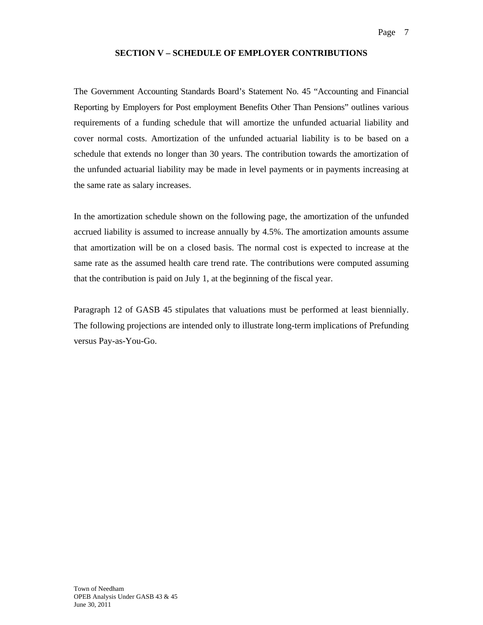## **SECTION V – SCHEDULE OF EMPLOYER CONTRIBUTIONS**

The Government Accounting Standards Board's Statement No. 45 "Accounting and Financial Reporting by Employers for Post employment Benefits Other Than Pensions" outlines various requirements of a funding schedule that will amortize the unfunded actuarial liability and cover normal costs. Amortization of the unfunded actuarial liability is to be based on a schedule that extends no longer than 30 years. The contribution towards the amortization of the unfunded actuarial liability may be made in level payments or in payments increasing at the same rate as salary increases.

In the amortization schedule shown on the following page, the amortization of the unfunded accrued liability is assumed to increase annually by 4.5%. The amortization amounts assume that amortization will be on a closed basis. The normal cost is expected to increase at the same rate as the assumed health care trend rate. The contributions were computed assuming that the contribution is paid on July 1, at the beginning of the fiscal year.

Paragraph 12 of GASB 45 stipulates that valuations must be performed at least biennially. The following projections are intended only to illustrate long-term implications of Prefunding versus Pay-as-You-Go.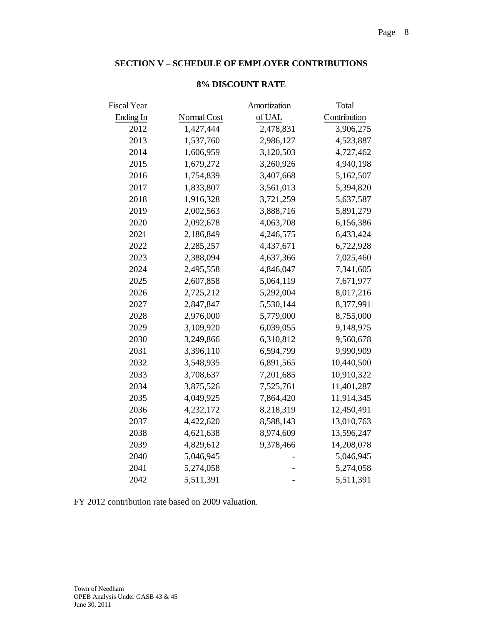## **SECTION V – SCHEDULE OF EMPLOYER CONTRIBUTIONS**

| Fiscal Year |             | Amortization | Total        |
|-------------|-------------|--------------|--------------|
| Ending In   | Normal Cost | of UAL       | Contribution |
| 2012        | 1,427,444   | 2,478,831    | 3,906,275    |
| 2013        | 1,537,760   | 2,986,127    | 4,523,887    |
| 2014        | 1,606,959   | 3,120,503    | 4,727,462    |
| 2015        | 1,679,272   | 3,260,926    | 4,940,198    |
| 2016        | 1,754,839   | 3,407,668    | 5,162,507    |
| 2017        | 1,833,807   | 3,561,013    | 5,394,820    |
| 2018        | 1,916,328   | 3,721,259    | 5,637,587    |
| 2019        | 2,002,563   | 3,888,716    | 5,891,279    |
| 2020        | 2,092,678   | 4,063,708    | 6,156,386    |
| 2021        | 2,186,849   | 4,246,575    | 6,433,424    |
| 2022        | 2,285,257   | 4,437,671    | 6,722,928    |
| 2023        | 2,388,094   | 4,637,366    | 7,025,460    |
| 2024        | 2,495,558   | 4,846,047    | 7,341,605    |
| 2025        | 2,607,858   | 5,064,119    | 7,671,977    |
| 2026        | 2,725,212   | 5,292,004    | 8,017,216    |
| 2027        | 2,847,847   | 5,530,144    | 8,377,991    |
| 2028        | 2,976,000   | 5,779,000    | 8,755,000    |
| 2029        | 3,109,920   | 6,039,055    | 9,148,975    |
| 2030        | 3,249,866   | 6,310,812    | 9,560,678    |
| 2031        | 3,396,110   | 6,594,799    | 9,990,909    |
| 2032        | 3,548,935   | 6,891,565    | 10,440,500   |
| 2033        | 3,708,637   | 7,201,685    | 10,910,322   |
| 2034        | 3,875,526   | 7,525,761    | 11,401,287   |
| 2035        | 4,049,925   | 7,864,420    | 11,914,345   |
| 2036        | 4,232,172   | 8,218,319    | 12,450,491   |
| 2037        | 4,422,620   | 8,588,143    | 13,010,763   |
| 2038        | 4,621,638   | 8,974,609    | 13,596,247   |
| 2039        | 4,829,612   | 9,378,466    | 14,208,078   |
| 2040        | 5,046,945   |              | 5,046,945    |
| 2041        | 5,274,058   |              | 5,274,058    |
| 2042        | 5,511,391   |              | 5,511,391    |

## **8% DISCOUNT RATE**

FY 2012 contribution rate based on 2009 valuation.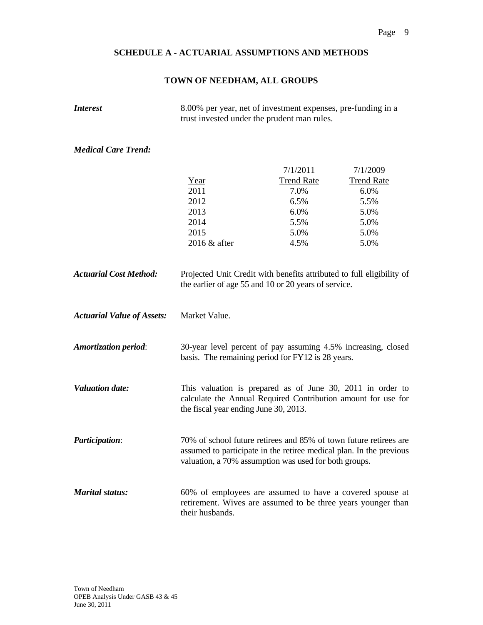# **TOWN OF NEEDHAM, ALL GROUPS**

*Interest* 8.00% per year, net of investment expenses, pre-funding in a trust invested under the prudent man rules.

# *Medical Care Trend:*

|                                   |                                                                                                                                                                                                   | 7/1/2011          | 7/1/2009          |  |  |  |  |
|-----------------------------------|---------------------------------------------------------------------------------------------------------------------------------------------------------------------------------------------------|-------------------|-------------------|--|--|--|--|
|                                   | Year                                                                                                                                                                                              | <b>Trend Rate</b> | <b>Trend Rate</b> |  |  |  |  |
|                                   | 2011                                                                                                                                                                                              | 7.0%              | 6.0%              |  |  |  |  |
|                                   | 2012                                                                                                                                                                                              | 6.5%              | 5.5%              |  |  |  |  |
|                                   | 2013                                                                                                                                                                                              | 6.0%              | 5.0%              |  |  |  |  |
|                                   | 2014                                                                                                                                                                                              | 5.5%              | 5.0%              |  |  |  |  |
|                                   | 2015                                                                                                                                                                                              | 5.0%              | 5.0%              |  |  |  |  |
|                                   | 2016 & after                                                                                                                                                                                      | 4.5%              | 5.0%              |  |  |  |  |
| <b>Actuarial Cost Method:</b>     | Projected Unit Credit with benefits attributed to full eligibility of<br>the earlier of age 55 and 10 or 20 years of service.                                                                     |                   |                   |  |  |  |  |
| <b>Actuarial Value of Assets:</b> | Market Value.                                                                                                                                                                                     |                   |                   |  |  |  |  |
| <b>Amortization period:</b>       | 30-year level percent of pay assuming 4.5% increasing, closed<br>basis. The remaining period for FY12 is 28 years.                                                                                |                   |                   |  |  |  |  |
| <b>Valuation date:</b>            | This valuation is prepared as of June 30, 2011 in order to<br>calculate the Annual Required Contribution amount for use for<br>the fiscal year ending June 30, 2013.                              |                   |                   |  |  |  |  |
| <b>Participation:</b>             | 70% of school future retirees and 85% of town future retirees are<br>assumed to participate in the retiree medical plan. In the previous<br>valuation, a 70% assumption was used for both groups. |                   |                   |  |  |  |  |
| <b>Marital status:</b>            | 60% of employees are assumed to have a covered spouse at<br>retirement. Wives are assumed to be three years younger than<br>their husbands.                                                       |                   |                   |  |  |  |  |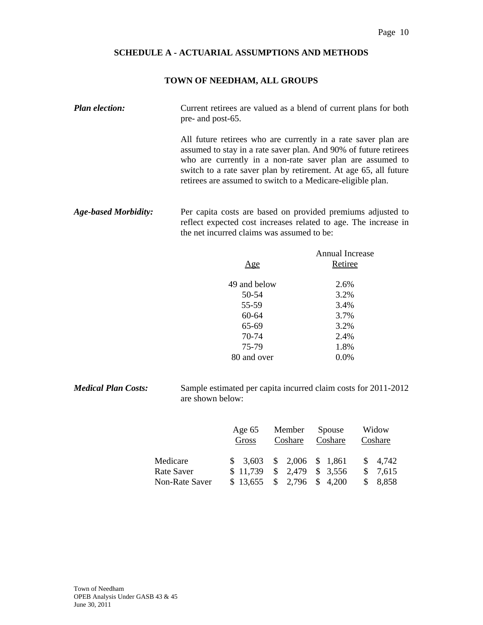## **TOWN OF NEEDHAM, ALL GROUPS**

*Plan election:* Current retirees are valued as a blend of current plans for both pre- and post-65.

> All future retirees who are currently in a rate saver plan are assumed to stay in a rate saver plan. And 90% of future retirees who are currently in a non-rate saver plan are assumed to switch to a rate saver plan by retirement. At age 65, all future retirees are assumed to switch to a Medicare-eligible plan.

*Age-based Morbidity:* Per capita costs are based on provided premiums adjusted to reflect expected cost increases related to age. The increase in the net incurred claims was assumed to be:

| Annual Increase |
|-----------------|
| Retiree         |
|                 |
| 2.6%            |
| 3.2%            |
| 3.4%            |
| 3.7%            |
| 3.2%            |
| 2.4%            |
| 1.8%            |
| $0.0\%$         |
|                 |

*Medical Plan Costs:* Sample estimated per capita incurred claim costs for 2011-2012 are shown below:

|                | Age $65$ | Member                      | Spouse  | Widow                  |
|----------------|----------|-----------------------------|---------|------------------------|
|                | Gross    | Coshare                     | Coshare | Coshare                |
| Medicare       |          | $$3,603$ $$2,006$ $$1,861$  |         | $\frac{1}{2}$ 4,742    |
| Rate Saver     |          | $$11,739$ $$2,479$ $$3,556$ |         | 7,615<br><sup>\$</sup> |
| Non-Rate Saver | \$13,655 | $\frac{1}{2}$ , 2,796       | \$4,200 | 8,858                  |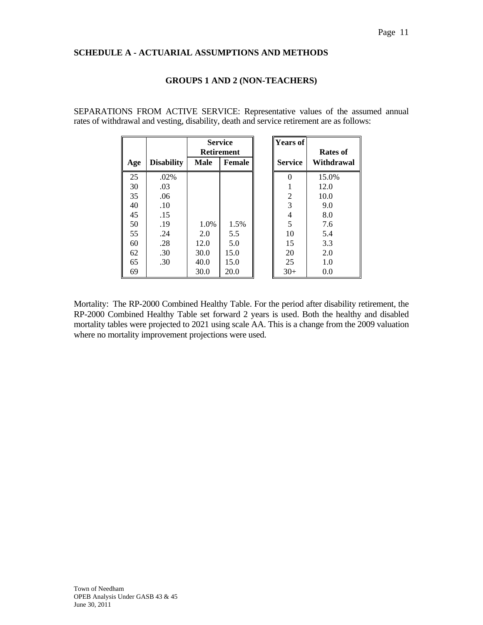## **GROUPS 1 AND 2 (NON-TEACHERS)**

SEPARATIONS FROM ACTIVE SERVICE: Representative values of the assumed annual rates of withdrawal and vesting, disability, death and service retirement are as follows:

|     |                   | <b>Service</b><br><b>Retirement</b> |               | <b>Years of</b> | Rates of   |
|-----|-------------------|-------------------------------------|---------------|-----------------|------------|
| Age | <b>Disability</b> | <b>Male</b>                         | <b>Female</b> | <b>Service</b>  | Withdrawal |
| 25  | .02%              |                                     |               |                 | 15.0%      |
| 30  | .03               |                                     |               |                 | 12.0       |
| 35  | .06               |                                     |               | $\overline{c}$  | 10.0       |
| 40  | .10               |                                     |               | 3               | 9.0        |
| 45  | .15               |                                     |               | 4               | 8.0        |
| 50  | .19               | 1.0%                                | 1.5%          | 5               | 7.6        |
| 55  | .24               | 2.0                                 | 5.5           | 10              | 5.4        |
| 60  | .28               | 12.0                                | 5.0           | 15              | 3.3        |
| 62  | .30               | 30.0                                | 15.0          | 20              | 2.0        |
| 65  | .30               | 40.0                                | 15.0          | 25              | 1.0        |
| 69  |                   | 30.0                                | 20.0          | $30+$           | 0.0        |

Mortality: The RP-2000 Combined Healthy Table. For the period after disability retirement, the RP-2000 Combined Healthy Table set forward 2 years is used. Both the healthy and disabled mortality tables were projected to 2021 using scale AA. This is a change from the 2009 valuation where no mortality improvement projections were used.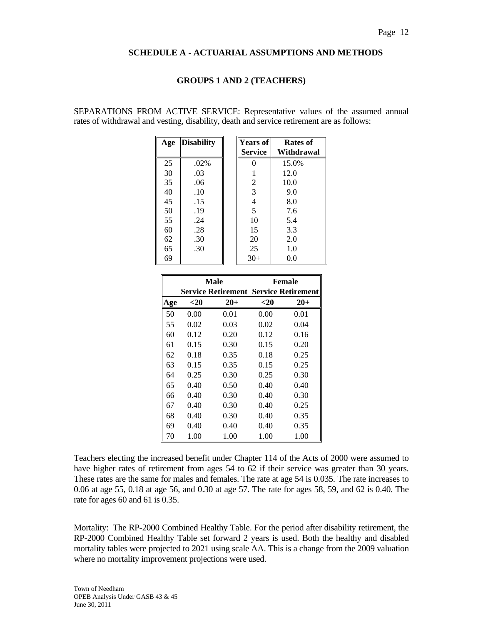## **GROUPS 1 AND 2 (TEACHERS)**

SEPARATIONS FROM ACTIVE SERVICE: Representative values of the assumed annual rates of withdrawal and vesting, disability, death and service retirement are as follows:

| Age | <b>Disability</b> | <b>Years of</b> | Rates of   |
|-----|-------------------|-----------------|------------|
|     |                   | <b>Service</b>  | Withdrawal |
| 25  | .02%              | 0               | 15.0%      |
| 30  | .03               | 1               | 12.0       |
| 35  | .06               | 2               | 10.0       |
| 40  | .10               | 3               | 9.0        |
| 45  | .15               | 4               | 8.0        |
| 50  | .19               | 5               | 7.6        |
| 55  | .24               | 10              | 5.4        |
| 60  | .28               | 15              | 3.3        |
| 62  | .30               | 20              | 2.0        |
| 65  | .30               | 25              | 1.0        |
| 69  |                   | $30+$           | 0.0        |

|     |        | Male                                         | Female |       |  |
|-----|--------|----------------------------------------------|--------|-------|--|
|     |        | <b>Service Retirement Service Retirement</b> |        |       |  |
| Age | $<$ 20 | $20 +$                                       | $<$ 20 | $20+$ |  |
| 50  | 0.00   | 0.01                                         | 0.00   | 0.01  |  |
| 55  | 0.02   | 0.03                                         | 0.02   | 0.04  |  |
| 60  | 0.12   | 0.20                                         | 0.12   | 0.16  |  |
| 61  | 0.15   | 0.30                                         | 0.15   | 0.20  |  |
| 62  | 0.18   | 0.35                                         | 0.18   | 0.25  |  |
| 63  | 0.15   | 0.35                                         | 0.15   | 0.25  |  |
| 64  | 0.25   | 0.30                                         | 0.25   | 0.30  |  |
| 65  | 0.40   | 0.50                                         | 0.40   | 0.40  |  |
| 66  | 0.40   | 0.30                                         | 0.40   | 0.30  |  |
| 67  | 0.40   | 0.30                                         | 0.40   | 0.25  |  |
| 68  | 0.40   | 0.30                                         | 0.40   | 0.35  |  |
| 69  | 0.40   | 0.40                                         | 0.40   | 0.35  |  |
| 70  | 1.00   | 1.00                                         | 1.00   | 1.00  |  |

Teachers electing the increased benefit under Chapter 114 of the Acts of 2000 were assumed to have higher rates of retirement from ages 54 to 62 if their service was greater than 30 years. These rates are the same for males and females. The rate at age 54 is 0.035. The rate increases to 0.06 at age 55, 0.18 at age 56, and 0.30 at age 57. The rate for ages 58, 59, and 62 is 0.40. The rate for ages 60 and 61 is 0.35.

Mortality: The RP-2000 Combined Healthy Table. For the period after disability retirement, the RP-2000 Combined Healthy Table set forward 2 years is used. Both the healthy and disabled mortality tables were projected to 2021 using scale AA. This is a change from the 2009 valuation where no mortality improvement projections were used.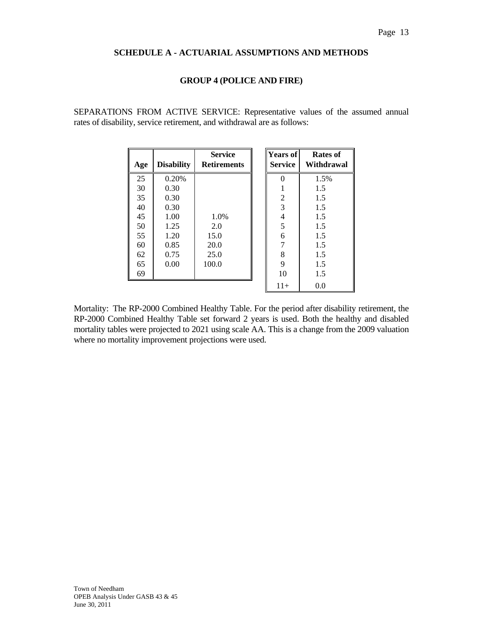## **GROUP 4 (POLICE AND FIRE)**

SEPARATIONS FROM ACTIVE SERVICE: Representative values of the assumed annual rates of disability, service retirement, and withdrawal are as follows:

| Age | <b>Disability</b> | <b>Service</b><br><b>Retirements</b> | <b>Years of</b><br><b>Service</b> | Rates of<br>Withdrawal |
|-----|-------------------|--------------------------------------|-----------------------------------|------------------------|
| 25  | 0.20%             |                                      | $\theta$                          | 1.5%                   |
| 30  | 0.30              |                                      |                                   | 1.5                    |
| 35  | 0.30              |                                      | 2                                 | 1.5                    |
| 40  | 0.30              |                                      | 3                                 | 1.5                    |
| 45  | 1.00              | 1.0%                                 | 4                                 | 1.5                    |
| 50  | 1.25              | 2.0                                  | 5                                 | 1.5                    |
| 55  | 1.20              | 15.0                                 | 6                                 | 1.5                    |
| 60  | 0.85              | 20.0                                 | 7                                 | 1.5                    |
| 62  | 0.75              | 25.0                                 | 8                                 | 1.5                    |
| 65  | 0.00              | 100.0                                | 9                                 | 1.5                    |
| 69  |                   |                                      | 10                                | 1.5                    |
|     |                   |                                      | $11+$                             | 0.0                    |

Mortality: The RP-2000 Combined Healthy Table. For the period after disability retirement, the RP-2000 Combined Healthy Table set forward 2 years is used. Both the healthy and disabled mortality tables were projected to 2021 using scale AA. This is a change from the 2009 valuation where no mortality improvement projections were used.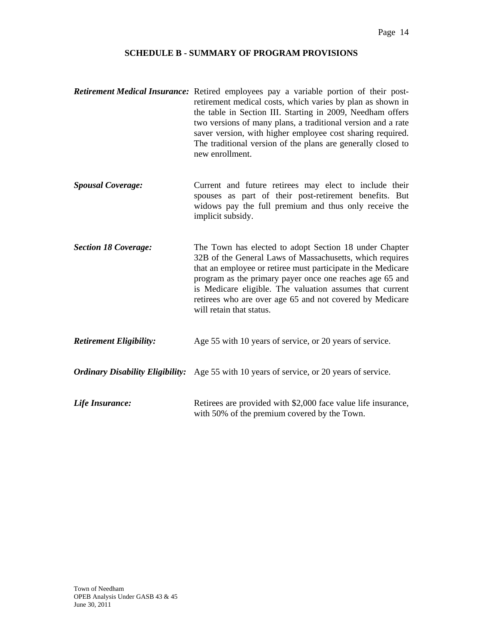## **SCHEDULE B - SUMMARY OF PROGRAM PROVISIONS**

- *Retirement Medical Insurance:* Retired employees pay a variable portion of their postretirement medical costs, which varies by plan as shown in the table in Section III. Starting in 2009, Needham offers two versions of many plans, a traditional version and a rate saver version, with higher employee cost sharing required. The traditional version of the plans are generally closed to new enrollment.
- **Spousal Coverage:** Current and future retirees may elect to include their spouses as part of their post-retirement benefits. But widows pay the full premium and thus only receive the implicit subsidy.
- *Section 18 Coverage:* The Town has elected to adopt Section 18 under Chapter 32B of the General Laws of Massachusetts, which requires that an employee or retiree must participate in the Medicare program as the primary payer once one reaches age 65 and is Medicare eligible. The valuation assumes that current retirees who are over age 65 and not covered by Medicare will retain that status.
- *Retirement Eligibility:* Age 55 with 10 years of service, or 20 years of service.
- *Ordinary Disability Eligibility:* Age 55 with 10 years of service, or 20 years of service.
- *Life Insurance:* Retirees are provided with \$2,000 face value life insurance, with 50% of the premium covered by the Town.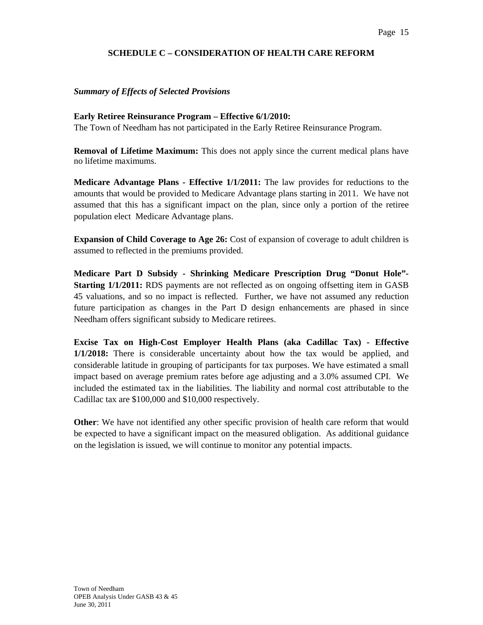## **SCHEDULE C – CONSIDERATION OF HEALTH CARE REFORM**

## *Summary of Effects of Selected Provisions*

## **Early Retiree Reinsurance Program – Effective 6/1/2010:**

The Town of Needham has not participated in the Early Retiree Reinsurance Program.

**Removal of Lifetime Maximum:** This does not apply since the current medical plans have no lifetime maximums.

**Medicare Advantage Plans - Effective 1/1/2011:** The law provides for reductions to the amounts that would be provided to Medicare Advantage plans starting in 2011. We have not assumed that this has a significant impact on the plan, since only a portion of the retiree population elect Medicare Advantage plans.

**Expansion of Child Coverage to Age 26:** Cost of expansion of coverage to adult children is assumed to reflected in the premiums provided.

**Medicare Part D Subsidy - Shrinking Medicare Prescription Drug "Donut Hole"- Starting 1/1/2011:** RDS payments are not reflected as on ongoing offsetting item in GASB 45 valuations, and so no impact is reflected. Further, we have not assumed any reduction future participation as changes in the Part D design enhancements are phased in since Needham offers significant subsidy to Medicare retirees.

**Excise Tax on High-Cost Employer Health Plans (aka Cadillac Tax) - Effective 1/1/2018:** There is considerable uncertainty about how the tax would be applied, and considerable latitude in grouping of participants for tax purposes. We have estimated a small impact based on average premium rates before age adjusting and a 3.0% assumed CPI. We included the estimated tax in the liabilities. The liability and normal cost attributable to the Cadillac tax are \$100,000 and \$10,000 respectively.

**Other**: We have not identified any other specific provision of health care reform that would be expected to have a significant impact on the measured obligation. As additional guidance on the legislation is issued, we will continue to monitor any potential impacts.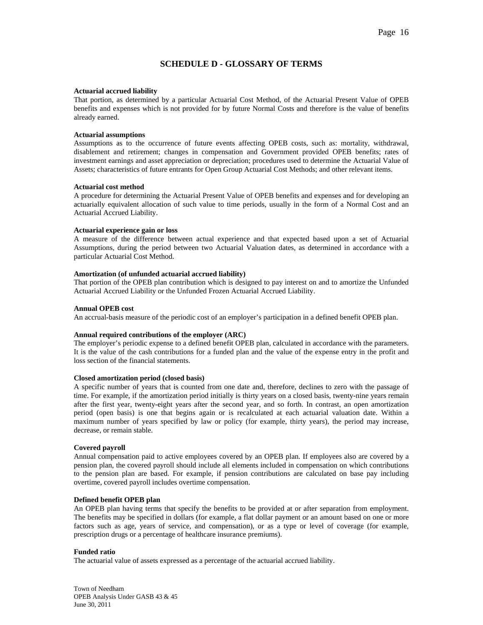## **SCHEDULE D - GLOSSARY OF TERMS**

#### **Actuarial accrued liability**

That portion, as determined by a particular Actuarial Cost Method, of the Actuarial Present Value of OPEB benefits and expenses which is not provided for by future Normal Costs and therefore is the value of benefits already earned.

#### **Actuarial assumptions**

Assumptions as to the occurrence of future events affecting OPEB costs, such as: mortality, withdrawal, disablement and retirement; changes in compensation and Government provided OPEB benefits; rates of investment earnings and asset appreciation or depreciation; procedures used to determine the Actuarial Value of Assets; characteristics of future entrants for Open Group Actuarial Cost Methods; and other relevant items.

#### **Actuarial cost method**

A procedure for determining the Actuarial Present Value of OPEB benefits and expenses and for developing an actuarially equivalent allocation of such value to time periods, usually in the form of a Normal Cost and an Actuarial Accrued Liability.

#### **Actuarial experience gain or loss**

A measure of the difference between actual experience and that expected based upon a set of Actuarial Assumptions, during the period between two Actuarial Valuation dates, as determined in accordance with a particular Actuarial Cost Method.

## **Amortization (of unfunded actuarial accrued liability)**

That portion of the OPEB plan contribution which is designed to pay interest on and to amortize the Unfunded Actuarial Accrued Liability or the Unfunded Frozen Actuarial Accrued Liability.

#### **Annual OPEB cost**

An accrual-basis measure of the periodic cost of an employer's participation in a defined benefit OPEB plan.

#### **Annual required contributions of the employer (ARC)**

The employer's periodic expense to a defined benefit OPEB plan, calculated in accordance with the parameters. It is the value of the cash contributions for a funded plan and the value of the expense entry in the profit and loss section of the financial statements.

## **Closed amortization period (closed basis)**

A specific number of years that is counted from one date and, therefore, declines to zero with the passage of time. For example, if the amortization period initially is thirty years on a closed basis, twenty-nine years remain after the first year, twenty-eight years after the second year, and so forth. In contrast, an open amortization period (open basis) is one that begins again or is recalculated at each actuarial valuation date. Within a maximum number of years specified by law or policy (for example, thirty years), the period may increase, decrease, or remain stable.

#### **Covered payroll**

Annual compensation paid to active employees covered by an OPEB plan. If employees also are covered by a pension plan, the covered payroll should include all elements included in compensation on which contributions to the pension plan are based. For example, if pension contributions are calculated on base pay including overtime, covered payroll includes overtime compensation.

#### **Defined benefit OPEB plan**

An OPEB plan having terms that specify the benefits to be provided at or after separation from employment. The benefits may be specified in dollars (for example, a flat dollar payment or an amount based on one or more factors such as age, years of service, and compensation), or as a type or level of coverage (for example, prescription drugs or a percentage of healthcare insurance premiums).

## **Funded ratio**

The actuarial value of assets expressed as a percentage of the actuarial accrued liability.

Town of Needham OPEB Analysis Under GASB 43 & 45 June 30, 2011